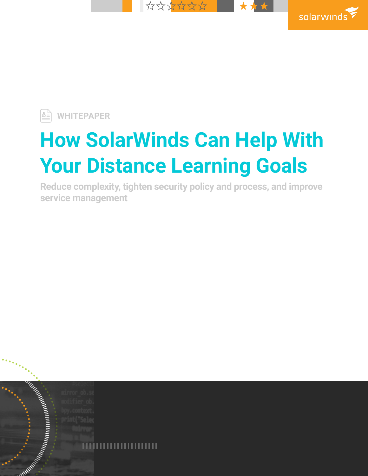



**WHITEPAPER** 

# **How SolarWinds Can Help With Your Distance Learning Goals**

**Reduce complexity, tighten security policy and process, and improve service management**

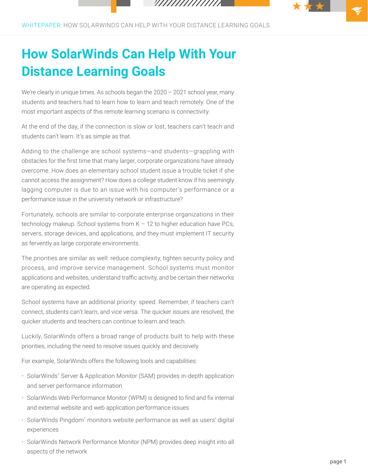////////////////

WHITEPAPER: HOW SOLARWINDS CAN HELP WITH YOUR DISTANCE LEARNING GOALS

# **How SolarWinds Can Help With Your Distance Learning Goals**

We're clearly in unique times. As schools began the 2020 - 2021 school year, many students and teachers had to learn how to learn and teach remotely. One of the most important aspects of this remote learning scenario is connectivity.

At the end of the day, if the connection is slow or lost, teachers can't teach and students can't learn. It's as simple as that.

Adding to the challenge are school systems—and students—grappling with obstacles for the first time that many larger, corporate organizations have already overcome. How does an elementary school student issue a trouble ticket if she cannot access the assignment? How does a college student know if his seemingly lagging computer is due to an issue with his computer's performance or a performance issue in the university network or infrastructure?

Fortunately, schools are similar to corporate enterprise organizations in their technology makeup. School systems from K – 12 to higher education have PCs, servers, storage devices, and applications, and they must implement IT security as fervently as large corporate environments.

The priorities are similar as well: reduce complexity, tighten security policy and process, and improve service management. School systems must monitor applications and websites, understand traffic activity, and be certain their networks are operating as expected.

School systems have an additional priority: speed. Remember, if teachers can't connect, students can't learn, and vice versa. The quicker issues are resolved, the quicker students and teachers can continue to learn and teach.

Luckily, SolarWinds offers a broad range of products built to help with these priorities, including the need to resolve issues quickly and decisively.

For example, SolarWinds offers the following tools and capabilities:

- SolarWinds<sup>®</sup> Server & Application Monitor (SAM) provides in-depth application and server performance information
- SolarWinds Web Performance Monitor (WPM) is designed to find and fix internal and external website and web application performance issues
- SolarWinds Pingdom® monitors website performance as well as users' digital experiences
- SolarWinds Network Performance Monitor (NPM) provides deep insight into all aspects of the network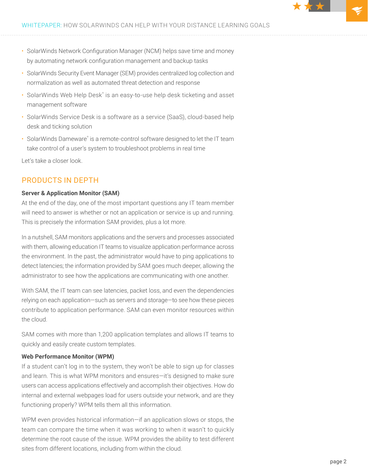- SolarWinds Network Configuration Manager (NCM) helps save time and money by automating network configuration management and backup tasks
- SolarWinds Security Event Manager (SEM) provides centralized log collection and normalization as well as automated threat detection and response
- SolarWinds Web Help Desk® is an easy-to-use help desk ticketing and asset management software
- SolarWinds Service Desk is a software as a service (SaaS), cloud-based help desk and ticking solution
- SolarWinds Dameware® is a remote-control software designed to let the IT team take control of a user's system to troubleshoot problems in real time

Let's take a closer look.

# PRODUCTS IN DEPTH

#### **Server & Application Monitor (SAM)**

At the end of the day, one of the most important questions any IT team member will need to answer is whether or not an application or service is up and running. This is precisely the information SAM provides, plus a lot more.

In a nutshell, SAM monitors applications and the servers and processes associated with them, allowing education IT teams to visualize application performance across the environment. In the past, the administrator would have to ping applications to detect latencies; the information provided by SAM goes much deeper, allowing the administrator to see how the applications are communicating with one another.

With SAM, the IT team can see latencies, packet loss, and even the dependencies relying on each application—such as servers and storage—to see how these pieces contribute to application performance. SAM can even monitor resources within the cloud.

SAM comes with more than 1,200 application templates and allows IT teams to quickly and easily create custom templates.

#### **Web Performance Monitor (WPM)**

If a student can't log in to the system, they won't be able to sign up for classes and learn. This is what WPM monitors and ensures—it's designed to make sure users can access applications effectively and accomplish their objectives. How do internal and external webpages load for users outside your network, and are they functioning properly? WPM tells them all this information.

WPM even provides historical information—if an application slows or stops, the team can compare the time when it was working to when it wasn't to quickly determine the root cause of the issue. WPM provides the ability to test different sites from different locations, including from within the cloud.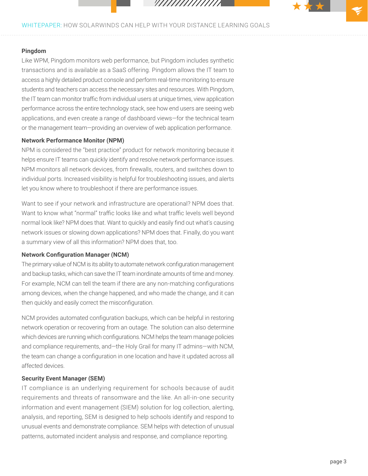///////////////

# WHITEPAPER: HOW SOLARWINDS CAN HELP WITH YOUR DISTANCE LEARNING GOALS

#### **Pingdom**

Like WPM, Pingdom monitors web performance, but Pingdom includes synthetic transactions and is available as a SaaS offering. Pingdom allows the IT team to access a highly detailed product console and perform real-time monitoring to ensure students and teachers can access the necessary sites and resources. With Pingdom, the IT team can monitor traffic from individual users at unique times, view application performance across the entire technology stack, see how end users are seeing web applications, and even create a range of dashboard views—for the technical team or the management team—providing an overview of web application performance.

#### **Network Performance Monitor (NPM)**

NPM is considered the "best practice" product for network monitoring because it helps ensure IT teams can quickly identify and resolve network performance issues. NPM monitors all network devices, from firewalls, routers, and switches down to individual ports. Increased visibility is helpful for troubleshooting issues, and alerts let you know where to troubleshoot if there are performance issues.

Want to see if your network and infrastructure are operational? NPM does that. Want to know what "normal" traffic looks like and what traffic levels well beyond normal look like? NPM does that. Want to quickly and easily find out what's causing network issues or slowing down applications? NPM does that. Finally, do you want a summary view of all this information? NPM does that, too.

# **Network Configuration Manager (NCM)**

The primary value of NCM is its ability to automate network configuration management and backup tasks, which can save the IT team inordinate amounts of time and money. For example, NCM can tell the team if there are any non-matching configurations among devices, when the change happened, and who made the change, and it can then quickly and easily correct the misconfiguration.

NCM provides automated configuration backups, which can be helpful in restoring network operation or recovering from an outage. The solution can also determine which devices are running which configurations. NCM helps the team manage policies and compliance requirements, and—the Holy Grail for many IT admins—with NCM, the team can change a configuration in one location and have it updated across all affected devices.

### **Security Event Manager (SEM)**

IT compliance is an underlying requirement for schools because of audit requirements and threats of ransomware and the like. An all-in-one security information and event management (SIEM) solution for log collection, alerting, analysis, and reporting, SEM is designed to help schools identify and respond to unusual events and demonstrate compliance. SEM helps with detection of unusual patterns, automated incident analysis and response, and compliance reporting.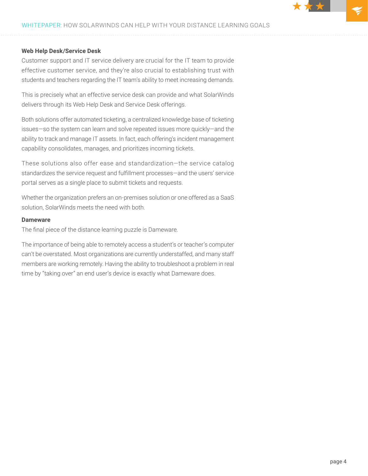# WHITEPAPER: HOW SOLARWINDS CAN HELP WITH YOUR DISTANCE LEARNING GOALS

#### **Web Help Desk/Service Desk**

Customer support and IT service delivery are crucial for the IT team to provide effective customer service, and they're also crucial to establishing trust with students and teachers regarding the IT team's ability to meet increasing demands.

This is precisely what an effective service desk can provide and what SolarWinds delivers through its Web Help Desk and Service Desk offerings.

Both solutions offer automated ticketing, a centralized knowledge base of ticketing issues—so the system can learn and solve repeated issues more quickly—and the ability to track and manage IT assets. In fact, each offering's incident management capability consolidates, manages, and prioritizes incoming tickets.

These solutions also offer ease and standardization—the service catalog standardizes the service request and fulfillment processes—and the users' service portal serves as a single place to submit tickets and requests.

Whether the organization prefers an on-premises solution or one offered as a SaaS solution, SolarWinds meets the need with both.

#### **Dameware**

The final piece of the distance learning puzzle is Dameware.

The importance of being able to remotely access a student's or teacher's computer can't be overstated. Most organizations are currently understaffed, and many staff members are working remotely. Having the ability to troubleshoot a problem in real time by "taking over" an end user's device is exactly what Dameware does.